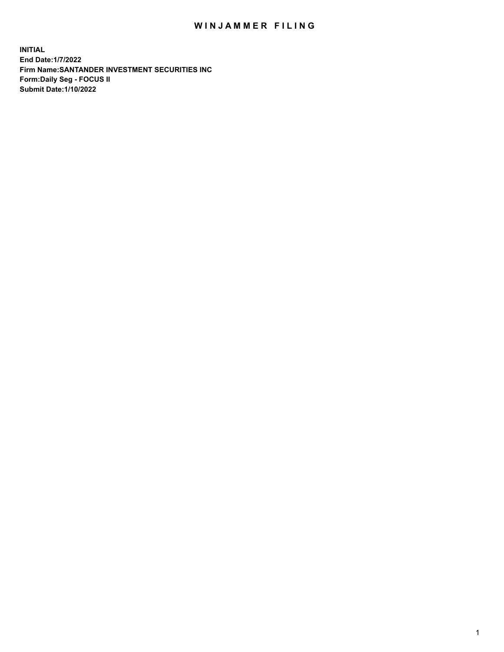## WIN JAMMER FILING

**INITIAL End Date:1/7/2022 Firm Name:SANTANDER INVESTMENT SECURITIES INC Form:Daily Seg - FOCUS II Submit Date:1/10/2022**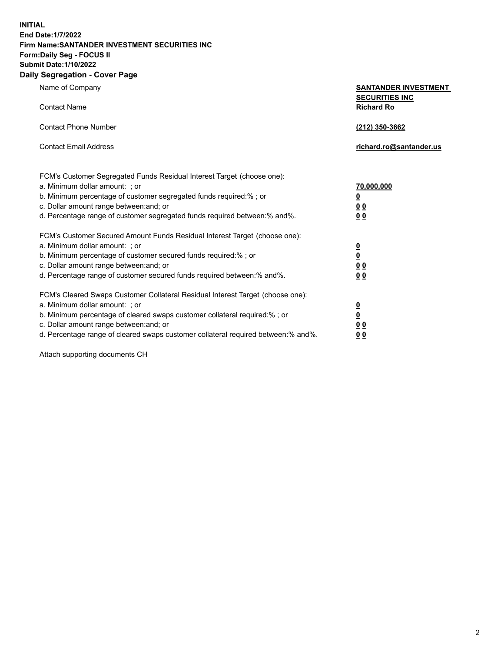**INITIAL End Date:1/7/2022 Firm Name:SANTANDER INVESTMENT SECURITIES INC Form:Daily Seg - FOCUS II Submit Date:1/10/2022 Daily Segregation - Cover Page**

| Name of Company                                                                | <b>SANTANDER INVESTMENT</b> |
|--------------------------------------------------------------------------------|-----------------------------|
|                                                                                | <b>SECURITIES INC</b>       |
| <b>Contact Name</b>                                                            | <b>Richard Ro</b>           |
|                                                                                |                             |
| <b>Contact Phone Number</b>                                                    | (212) 350-3662              |
|                                                                                |                             |
| <b>Contact Email Address</b>                                                   | richard.ro@santander.us     |
|                                                                                |                             |
| FCM's Customer Segregated Funds Residual Interest Target (choose one):         |                             |
| a. Minimum dollar amount: ; or                                                 | <u>70,000,000</u>           |
| b. Minimum percentage of customer segregated funds required:%; or              | <u>0</u>                    |
| c. Dollar amount range between: and; or                                        | 00                          |
| d. Percentage range of customer segregated funds required between:% and%.      | 0 <sub>0</sub>              |
|                                                                                |                             |
| FCM's Customer Secured Amount Funds Residual Interest Target (choose one):     |                             |
| a. Minimum dollar amount: ; or                                                 | $\frac{\Omega}{\Omega}$     |
| b. Minimum percentage of customer secured funds required:%; or                 |                             |
| c. Dollar amount range between: and; or                                        | 0 <sub>0</sub>              |
| d. Percentage range of customer secured funds required between:% and%.         | 0 <sub>0</sub>              |
|                                                                                |                             |
| FCM's Cleared Swaps Customer Collateral Residual Interest Target (choose one): |                             |
| a. Minimum dollar amount: ; or                                                 | $\frac{0}{0}$               |
| b. Minimum percentage of cleared swaps customer collateral required:%; or      |                             |
| c. Dollar amount range between: and; or                                        | 00                          |

d. Percentage range of cleared swaps customer collateral required between:% and%. **0 0**

Attach supporting documents CH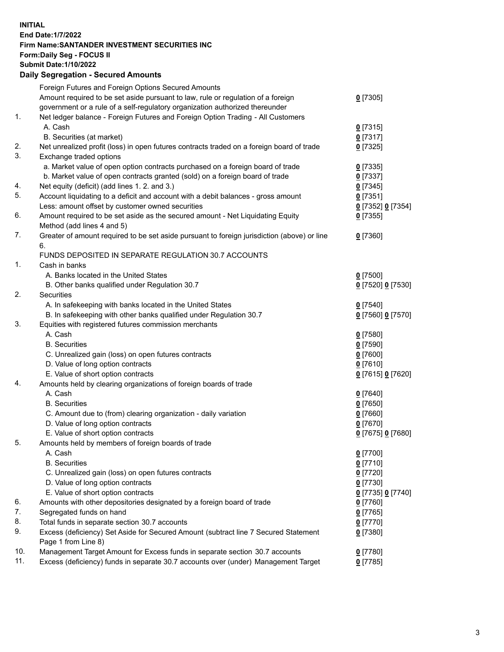## **INITIAL End Date:1/7/2022 Firm Name:SANTANDER INVESTMENT SECURITIES INC Form:Daily Seg - FOCUS II Submit Date:1/10/2022 Daily Segregation - Secured Amounts**

|     | Foreign Futures and Foreign Options Secured Amounts                                         |                   |
|-----|---------------------------------------------------------------------------------------------|-------------------|
|     | Amount required to be set aside pursuant to law, rule or regulation of a foreign            | $0$ [7305]        |
|     | government or a rule of a self-regulatory organization authorized thereunder                |                   |
| 1.  | Net ledger balance - Foreign Futures and Foreign Option Trading - All Customers             |                   |
|     | A. Cash                                                                                     | $0$ [7315]        |
|     | B. Securities (at market)                                                                   | $0$ [7317]        |
| 2.  | Net unrealized profit (loss) in open futures contracts traded on a foreign board of trade   | $0$ [7325]        |
| 3.  | Exchange traded options                                                                     |                   |
|     | a. Market value of open option contracts purchased on a foreign board of trade              | $0$ [7335]        |
|     | b. Market value of open contracts granted (sold) on a foreign board of trade                | $0$ [7337]        |
| 4.  | Net equity (deficit) (add lines 1. 2. and 3.)                                               | $0$ [7345]        |
| 5.  | Account liquidating to a deficit and account with a debit balances - gross amount           | $0$ [7351]        |
|     | Less: amount offset by customer owned securities                                            | 0 [7352] 0 [7354] |
| 6.  | Amount required to be set aside as the secured amount - Net Liquidating Equity              | $0$ [7355]        |
|     | Method (add lines 4 and 5)                                                                  |                   |
| 7.  | Greater of amount required to be set aside pursuant to foreign jurisdiction (above) or line | $0$ [7360]        |
|     | 6.                                                                                          |                   |
|     | FUNDS DEPOSITED IN SEPARATE REGULATION 30.7 ACCOUNTS                                        |                   |
| 1.  | Cash in banks                                                                               |                   |
|     | A. Banks located in the United States                                                       | $0$ [7500]        |
|     | B. Other banks qualified under Regulation 30.7                                              | 0 [7520] 0 [7530] |
| 2.  | <b>Securities</b>                                                                           |                   |
|     | A. In safekeeping with banks located in the United States                                   | $0$ [7540]        |
|     | B. In safekeeping with other banks qualified under Regulation 30.7                          | 0 [7560] 0 [7570] |
| 3.  | Equities with registered futures commission merchants                                       |                   |
|     | A. Cash                                                                                     | $0$ [7580]        |
|     | <b>B.</b> Securities                                                                        | $0$ [7590]        |
|     | C. Unrealized gain (loss) on open futures contracts                                         | $0$ [7600]        |
|     | D. Value of long option contracts                                                           | $0$ [7610]        |
|     | E. Value of short option contracts                                                          | 0 [7615] 0 [7620] |
| 4.  | Amounts held by clearing organizations of foreign boards of trade                           |                   |
|     | A. Cash                                                                                     | $0$ [7640]        |
|     | <b>B.</b> Securities                                                                        | $0$ [7650]        |
|     | C. Amount due to (from) clearing organization - daily variation                             | $0$ [7660]        |
|     | D. Value of long option contracts                                                           | $0$ [7670]        |
|     | E. Value of short option contracts                                                          | 0 [7675] 0 [7680] |
| 5.  | Amounts held by members of foreign boards of trade                                          |                   |
|     | A. Cash                                                                                     | $0$ [7700]        |
|     | <b>B.</b> Securities                                                                        | $0$ [7710]        |
|     | C. Unrealized gain (loss) on open futures contracts                                         | $0$ [7720]        |
|     | D. Value of long option contracts                                                           | $0$ [7730]        |
|     | E. Value of short option contracts                                                          | 0 [7735] 0 [7740] |
| 6.  | Amounts with other depositories designated by a foreign board of trade                      | $0$ [7760]        |
| 7.  | Segregated funds on hand                                                                    | $0$ [7765]        |
| 8.  | Total funds in separate section 30.7 accounts                                               | $0$ [7770]        |
| 9.  | Excess (deficiency) Set Aside for Secured Amount (subtract line 7 Secured Statement         | $0$ [7380]        |
|     | Page 1 from Line 8)                                                                         |                   |
| 10. | Management Target Amount for Excess funds in separate section 30.7 accounts                 | $0$ [7780]        |
| 11. | Excess (deficiency) funds in separate 30.7 accounts over (under) Management Target          | $0$ [7785]        |
|     |                                                                                             |                   |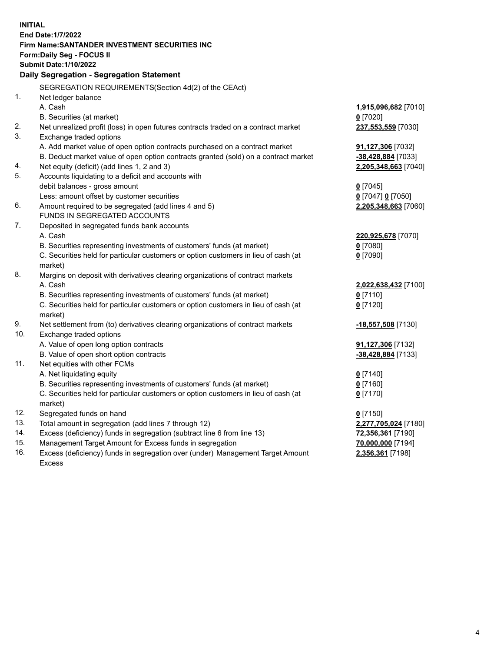| <b>INITIAL</b> |                                                                                                                                                               |                      |
|----------------|---------------------------------------------------------------------------------------------------------------------------------------------------------------|----------------------|
|                | <b>End Date:1/7/2022</b>                                                                                                                                      |                      |
|                | Firm Name: SANTANDER INVESTMENT SECURITIES INC                                                                                                                |                      |
|                | Form: Daily Seg - FOCUS II                                                                                                                                    |                      |
|                | <b>Submit Date: 1/10/2022</b>                                                                                                                                 |                      |
|                | Daily Segregation - Segregation Statement                                                                                                                     |                      |
|                | SEGREGATION REQUIREMENTS(Section 4d(2) of the CEAct)                                                                                                          |                      |
| 1.             | Net ledger balance                                                                                                                                            |                      |
|                | A. Cash                                                                                                                                                       | 1,915,096,682 [7010] |
|                | B. Securities (at market)                                                                                                                                     | $0$ [7020]           |
| 2.             | Net unrealized profit (loss) in open futures contracts traded on a contract market                                                                            | 237,553,559 [7030]   |
| 3.             | Exchange traded options                                                                                                                                       |                      |
|                | A. Add market value of open option contracts purchased on a contract market                                                                                   | 91,127,306 [7032]    |
|                | B. Deduct market value of open option contracts granted (sold) on a contract market                                                                           | -38,428,884 [7033]   |
| 4.             | Net equity (deficit) (add lines 1, 2 and 3)                                                                                                                   | 2,205,348,663 [7040] |
| 5.             | Accounts liquidating to a deficit and accounts with                                                                                                           |                      |
|                | debit balances - gross amount                                                                                                                                 | $0$ [7045]           |
|                | Less: amount offset by customer securities                                                                                                                    | 0 [7047] 0 [7050]    |
| 6.             | Amount required to be segregated (add lines 4 and 5)                                                                                                          | 2,205,348,663 [7060] |
|                | FUNDS IN SEGREGATED ACCOUNTS                                                                                                                                  |                      |
| 7.             | Deposited in segregated funds bank accounts                                                                                                                   |                      |
|                | A. Cash                                                                                                                                                       | 220,925,678 [7070]   |
|                | B. Securities representing investments of customers' funds (at market)                                                                                        | $0$ [7080]           |
|                | C. Securities held for particular customers or option customers in lieu of cash (at                                                                           | $0$ [7090]           |
| 8.             | market)                                                                                                                                                       |                      |
|                | Margins on deposit with derivatives clearing organizations of contract markets                                                                                |                      |
|                | A. Cash                                                                                                                                                       | 2,022,638,432 [7100] |
|                | B. Securities representing investments of customers' funds (at market)<br>C. Securities held for particular customers or option customers in lieu of cash (at | $0$ [7110]           |
|                | market)                                                                                                                                                       | $0$ [7120]           |
| 9.             | Net settlement from (to) derivatives clearing organizations of contract markets                                                                               | -18,557,508 [7130]   |
| 10.            | Exchange traded options                                                                                                                                       |                      |
|                | A. Value of open long option contracts                                                                                                                        | 91,127,306 [7132]    |
|                | B. Value of open short option contracts                                                                                                                       | -38,428,884 [7133]   |
| 11.            | Net equities with other FCMs                                                                                                                                  |                      |
|                | A. Net liquidating equity                                                                                                                                     | $0$ [7140]           |
|                | B. Securities representing investments of customers' funds (at market)                                                                                        | $0$ [7160]           |
|                | C. Securities held for particular customers or option customers in lieu of cash (at                                                                           | $0$ [7170]           |
|                | market)                                                                                                                                                       |                      |
| 12.            | Segregated funds on hand                                                                                                                                      | $0$ [7150]           |
| 13.            | Total amount in segregation (add lines 7 through 12)                                                                                                          | 2,277,705,024 [7180] |
| 14.            | Excess (deficiency) funds in segregation (subtract line 6 from line 13)                                                                                       | 72,356,361 [7190]    |
| 15.            | Management Target Amount for Excess funds in segregation                                                                                                      | 70,000,000 [7194]    |
| 16.            | Excess (deficiency) funds in segregation over (under) Management Target Amount                                                                                | 2,356,361 [7198]     |
|                | <b>Excess</b>                                                                                                                                                 |                      |